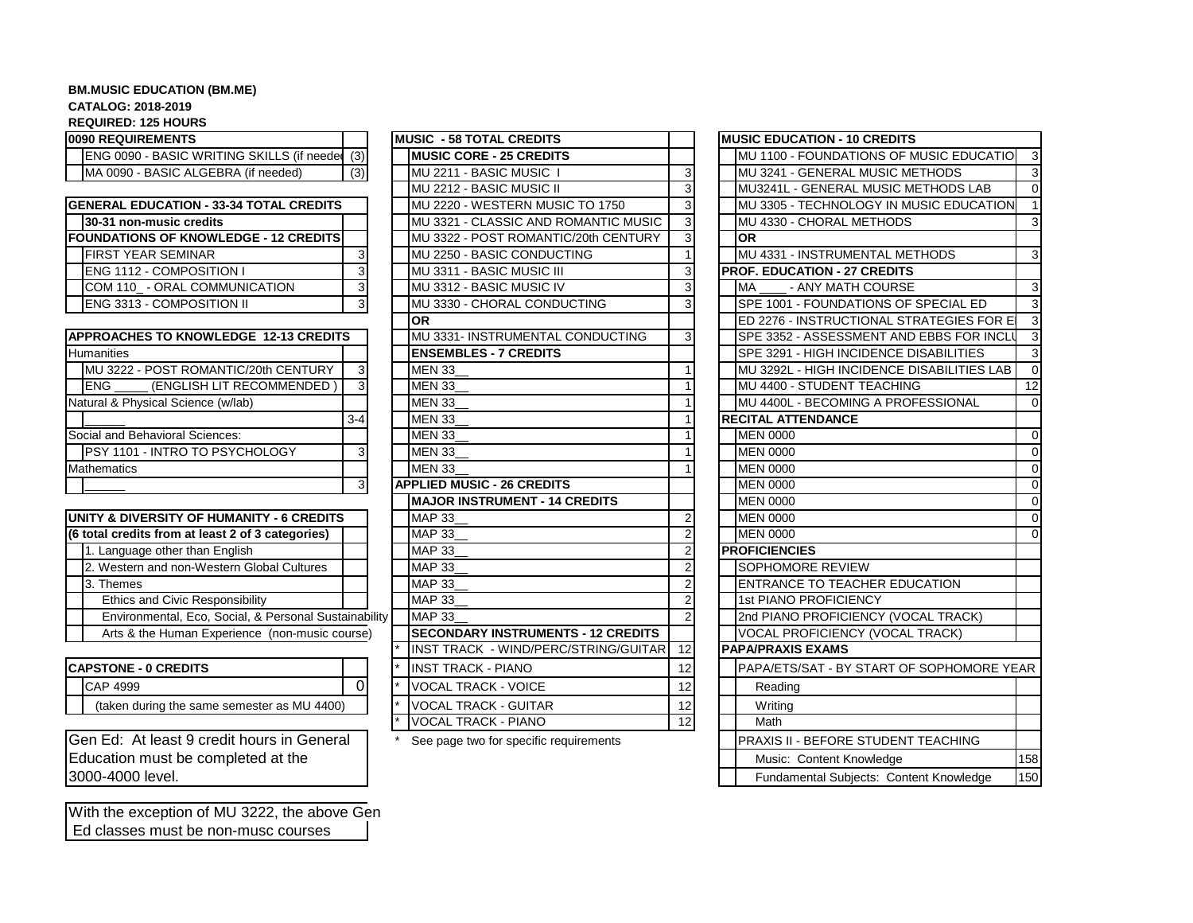## **BM.MUSIC EDUCATION (BM.ME)**

## **CATALOG: 2018-2019**

**REQUIRED: 125 HOURS**

| 0090 REQUIREMENTS                                 |                |
|---------------------------------------------------|----------------|
| ENG 0090 - BASIC WRITING SKILLS (if needer        | (3)            |
| MA 0090 - BASIC ALGEBRA (if needed)               | (3)            |
|                                                   |                |
| <b>GENERAL EDUCATION - 33-34 TOTAL CREDITS</b>    |                |
| 30-31 non-music credits                           |                |
| <b>FOUNDATIONS OF KNOWLEDGE - 12 CREDITS</b>      |                |
| <b>FIRST YEAR SEMINAR</b>                         | 3              |
| ENG 1112 - COMPOSITION I                          | $\frac{3}{3}$  |
| COM 110 - ORAL COMMUNICATION                      |                |
| ENG 3313 - COMPOSITION II                         | $\overline{3}$ |
|                                                   |                |
| APPROACHES TO KNOWLEDGE 12-13 CREDITS             |                |
| <b>Humanities</b>                                 |                |
| MU 3222 - POST ROMANTIC/20th CENTURY              | 3              |
| (ENGLISH LIT RECOMMENDED)<br>ENG                  | 3              |
| Natural & Physical Science (w/lab)                |                |
|                                                   | $3-4$          |
| Social and Behavioral Sciences:                   |                |
| PSY 1101 - INTRO TO PSYCHOLOGY                    | 3              |
| <b>Mathematics</b>                                |                |
|                                                   | 3              |
|                                                   |                |
| UNITY & DIVERSITY OF HUMANITY - 6 CREDITS         |                |
| (6 total credits from at least 2 of 3 categories) |                |
| 1. Language other than English                    |                |
| 2. Western and non-Western Global Cultures        |                |
| 3. Themes                                         |                |
| <b>Ethics and Civic Responsibility</b>            |                |
| Environmental, Eco, Social, & Personal Sustainabi |                |
| Arts & the Human Experience (non-music course)    |                |

| <b>ICAPSTONE - 0 CREDITS</b> |                                             |  |  |  |
|------------------------------|---------------------------------------------|--|--|--|
|                              | CAP 4999                                    |  |  |  |
|                              | (taken during the same semester as MU 4400) |  |  |  |

Gen Ed: At least 9 credit hours in General \* See page two for specific requirements Education must be completed at the 3000-4000 level.

With the exception of MU 3222, the above Gen Ed classes must be non-musc courses

| <b>0090 REQUIREMENTS</b>                              |          | <b>MUSIC - 58 TOTAL CREDITS</b>            |                         | <b>MUSIC EDUCATION - 10 CREDITS</b>    |
|-------------------------------------------------------|----------|--------------------------------------------|-------------------------|----------------------------------------|
| <b>ENG 0090 - BASIC WRITING SKILLS (if needer</b>     | (3)      | <b>IMUSIC CORE - 25 CREDITS</b>            |                         | MU 1100 - FOUNDATIONS OF MUSIC EDUC    |
| MA 0090 - BASIC ALGEBRA (if needed)                   | (3)      | MU 2211 - BASIC MUSIC                      | 3                       | MU 3241 - GENERAL MUSIC METHODS        |
|                                                       |          | MU 2212 - BASIC MUSIC II                   | $\overline{\mathbf{3}}$ | MU3241L - GENERAL MUSIC METHODS LA     |
| <b>GENERAL EDUCATION - 33-34 TOTAL CREDITS</b>        |          | MU 2220 - WESTERN MUSIC TO 1750            | 3                       | MU 3305 - TECHNOLOGY IN MUSIC EDUCA    |
| 30-31 non-music credits                               |          | MU 3321 - CLASSIC AND ROMANTIC MUSIC       | 3                       | MU 4330 - CHORAL METHODS               |
| <b>FOUNDATIONS OF KNOWLEDGE - 12 CREDITS</b>          |          | MU 3322 - POST ROMANTIC/20th CENTURY       | 3                       | <b>OR</b>                              |
| <b>FIRST YEAR SEMINAR</b>                             | 3        | MU 2250 - BASIC CONDUCTING                 |                         | MU 4331 - INSTRUMENTAL METHODS         |
| <b>ENG 1112 - COMPOSITION I</b>                       | 3        | MU 3311 - BASIC MUSIC III                  | 3                       | <b>PROF. EDUCATION - 27 CREDITS</b>    |
| COM 110_ - ORAL COMMUNICATION                         | 3        | MU 3312 - BASIC MUSIC IV                   | 3                       | - ANY MATH COURSE<br><b>MA</b>         |
| <b>ENG 3313 - COMPOSITION II</b>                      | 3        | <b>IMU 3330 - CHORAL CONDUCTING</b>        | 3                       | SPE 1001 - FOUNDATIONS OF SPECIAL ED   |
|                                                       |          | lor                                        |                         | ED 2276 - INSTRUCTIONAL STRATEGIES F   |
| <b>APPROACHES TO KNOWLEDGE 12-13 CREDITS</b>          |          | MU 3331- INSTRUMENTAL CONDUCTING           | 3                       | SPE 3352 - ASSESSMENT AND EBBS FOR     |
| <b>Humanities</b>                                     |          | <b>ENSEMBLES - 7 CREDITS</b>               |                         | SPE 3291 - HIGH INCIDENCE DISABILITIES |
| MU 3222 - POST ROMANTIC/20th CENTURY                  |          | <b>MEN 33</b>                              |                         | MU 3292L - HIGH INCIDENCE DISABILITIES |
| <b>ENG</b><br>(ENGLISH LIT RECOMMENDED)               |          | <b>MEN 33</b>                              |                         | MU 4400 - STUDENT TEACHING             |
| Natural & Physical Science (w/lab)                    |          | <b>MEN 33</b>                              |                         | MU 4400L - BECOMING A PROFESSIONAL     |
|                                                       | $3 - 4$  | <b>MEN 33</b>                              |                         | <b>RECITAL ATTENDANCE</b>              |
| Social and Behavioral Sciences:                       |          | <b>MEN 33</b>                              |                         | <b>MEN 0000</b>                        |
| <b>IPSY 1101 - INTRO TO PSYCHOLOGY</b>                | 3        | <b>MEN 33</b>                              |                         | <b>MEN 0000</b>                        |
| <b>Mathematics</b>                                    |          | <b>MEN 33</b>                              |                         | <b>MEN 0000</b>                        |
|                                                       | 3        | <b>APPLIED MUSIC - 26 CREDITS</b>          |                         | <b>MEN 0000</b>                        |
|                                                       |          | <b>MAJOR INSTRUMENT - 14 CREDITS</b>       |                         | <b>MEN 0000</b>                        |
| UNITY & DIVERSITY OF HUMANITY - 6 CREDITS             |          | <b>MAP 33</b>                              | 2                       | <b>MEN 0000</b>                        |
| (6 total credits from at least 2 of 3 categories)     |          | <b>MAP 33</b>                              | $\overline{2}$          | <b>MEN 0000</b>                        |
| 1. Language other than English                        |          | <b>MAP 33</b>                              | $\overline{2}$          | <b>PROFICIENCIES</b>                   |
| 2. Western and non-Western Global Cultures            |          | <b>MAP 33</b>                              | $\overline{2}$          | <b>SOPHOMORE REVIEW</b>                |
| 3. Themes                                             |          | <b>MAP 33</b>                              | $\overline{2}$          | <b>ENTRANCE TO TEACHER EDUCATION</b>   |
| Ethics and Civic Responsibility                       |          | <b>MAP 33</b>                              | $\overline{2}$          | 1st PIANO PROFICIENCY                  |
| Environmental, Eco, Social, & Personal Sustainability |          | <b>MAP 33</b>                              | $\overline{2}$          | 2nd PIANO PROFICIENCY (VOCAL TRACK)    |
| Arts & the Human Experience (non-music course)        |          | <b>ISECONDARY INSTRUMENTS - 12 CREDITS</b> |                         | VOCAL PROFICIENCY (VOCAL TRACK)        |
|                                                       |          | INST TRACK - WIND/PERC/STRING/GUITAR       | 12                      | <b>PAPA/PRAXIS EXAMS</b>               |
| <b>CAPSTONE - 0 CREDITS</b>                           |          | <b>INST TRACK - PIANO</b>                  | 12                      | PAPA/ETS/SAT - BY START OF SOPHOMO     |
| <b>CAP 4999</b>                                       | $\Omega$ | <b>VOCAL TRACK - VOICE</b>                 | 12                      | Reading                                |
| (taken during the same semester as MU 4400)           |          | <b>VOCAL TRACK - GUITAR</b>                | 12                      | Writing                                |
|                                                       |          | VOCAL TRACK - PIANO                        | 12                      | Math                                   |
|                                                       |          |                                            |                         |                                        |

| <b>0090 REQUIREMENTS</b>                              |                | <b>IMUSIC - 58 TOTAL CREDITS</b>          |                | <b>MUSIC EDUCATION - 10 CREDITS</b>        |             |
|-------------------------------------------------------|----------------|-------------------------------------------|----------------|--------------------------------------------|-------------|
| ENG 0090 - BASIC WRITING SKILLS (if needer            | (3)            | <b>MUSIC CORE - 25 CREDITS</b>            |                | MU 1100 - FOUNDATIONS OF MUSIC EDUCATIO    | - 3         |
| MA 0090 - BASIC ALGEBRA (if needed)                   | (3)            | MU 2211 - BASIC MUSIC I                   | 3              | MU 3241 - GENERAL MUSIC METHODS            | 3           |
|                                                       |                | MU 2212 - BASIC MUSIC II                  | 3              | MU3241L - GENERAL MUSIC METHODS LAB        | $\Omega$    |
| <b>GENERAL EDUCATION - 33-34 TOTAL CREDITS</b>        |                | MU 2220 - WESTERN MUSIC TO 1750           | 3              | MU 3305 - TECHNOLOGY IN MUSIC EDUCATION    | -1          |
| 30-31 non-music credits                               |                | MU 3321 - CLASSIC AND ROMANTIC MUSIC      | 3              | MU 4330 - CHORAL METHODS                   | 3           |
| <b>FOUNDATIONS OF KNOWLEDGE - 12 CREDITS</b>          |                | MU 3322 - POST ROMANTIC/20th CENTURY      |                | <b>OR</b>                                  |             |
| <b>FIRST YEAR SEMINAR</b>                             | 3              | MU 2250 - BASIC CONDUCTING                |                | MU 4331 - INSTRUMENTAL METHODS             | 3           |
| ENG 1112 - COMPOSITION I                              | 3              | MU 3311 - BASIC MUSIC III                 | 3              | <b>PROF. EDUCATION - 27 CREDITS</b>        |             |
| COM 110_ - ORAL COMMUNICATION                         | $\overline{3}$ | MU 3312 - BASIC MUSIC IV                  | 3              | <b>MA</b><br>- ANY MATH COURSE             | 3           |
| ENG 3313 - COMPOSITION II                             | 3              | MU 3330 - CHORAL CONDUCTING               | 3              | SPE 1001 - FOUNDATIONS OF SPECIAL ED       | 3           |
|                                                       |                | <b>OR</b>                                 |                | ED 2276 - INSTRUCTIONAL STRATEGIES FOR E   | 3           |
| <b>APPROACHES TO KNOWLEDGE 12-13 CREDITS</b>          |                | MU 3331- INSTRUMENTAL CONDUCTING          | 3              | SPE 3352 - ASSESSMENT AND EBBS FOR INCLU   | -3          |
| Humanities                                            |                | <b>ENSEMBLES - 7 CREDITS</b>              |                | SPE 3291 - HIGH INCIDENCE DISABILITIES     | 3           |
| MU 3222 - POST ROMANTIC/20th CENTURY                  | 3              | <b>MEN 33</b>                             |                | MU 3292L - HIGH INCIDENCE DISABILITIES LAB | -0          |
| <b>ENG</b><br>(ENGLISH LIT RECOMMENDED)               | 3              | <b>MEN 33</b>                             |                | MU 4400 - STUDENT TEACHING                 | 12          |
| Natural & Physical Science (w/lab)                    |                | <b>MEN 33</b>                             |                | MU 4400L - BECOMING A PROFESSIONAL         | $\Omega$    |
|                                                       | $3-4$          | <b>MEN 33</b>                             |                | <b>RECITAL ATTENDANCE</b>                  |             |
| Social and Behavioral Sciences:                       |                | <b>MEN 33</b>                             |                | <b>MEN 0000</b>                            | $\Omega$    |
| PSY 1101 - INTRO TO PSYCHOLOGY                        | 3              | <b>MEN 33</b>                             |                | <b>MEN 0000</b>                            | -0          |
| <b>Mathematics</b>                                    |                | <b>MEN 33</b>                             |                | <b>MEN 0000</b>                            | $\Omega$    |
|                                                       | 3              | <b>APPLIED MUSIC - 26 CREDITS</b>         |                | <b>MEN 0000</b>                            | $\Omega$    |
|                                                       |                | <b>MAJOR INSTRUMENT - 14 CREDITS</b>      |                | <b>MEN 0000</b>                            | $\mathbf 0$ |
| UNITY & DIVERSITY OF HUMANITY - 6 CREDITS             |                | <b>MAP 33</b>                             | $\overline{2}$ | <b>MEN 0000</b>                            | $\Omega$    |
| (6 total credits from at least 2 of 3 categories)     |                | <b>MAP 33</b>                             | $\overline{2}$ | <b>MEN 0000</b>                            | 0           |
| 1. Language other than English                        |                | <b>MAP 33</b>                             | $\overline{2}$ | <b>PROFICIENCIES</b>                       |             |
| 2. Western and non-Western Global Cultures            |                | <b>MAP 33</b>                             | $\overline{2}$ | <b>SOPHOMORE REVIEW</b>                    |             |
| 3. Themes                                             |                | <b>MAP 33</b>                             | $\overline{2}$ | ENTRANCE TO TEACHER EDUCATION              |             |
| Ethics and Civic Responsibility                       |                | <b>MAP 33</b>                             | $\overline{2}$ | 1st PIANO PROFICIENCY                      |             |
| Environmental, Eco, Social, & Personal Sustainability |                | <b>MAP 33</b>                             | $\mathcal{P}$  | 2nd PIANO PROFICIENCY (VOCAL TRACK)        |             |
| Arts & the Human Experience (non-music course)        |                | <b>SECONDARY INSTRUMENTS - 12 CREDITS</b> |                | VOCAL PROFICIENCY (VOCAL TRACK)            |             |
|                                                       |                | INST TRACK - WIND/PERC/STRING/GUITAR      | 12             | <b>PAPA/PRAXIS EXAMS</b>                   |             |
| <b>CAPSTONE - 0 CREDITS</b>                           |                | <b>INST TRACK - PIANO</b>                 | 12             | PAPA/ETS/SAT - BY START OF SOPHOMORE YEAR  |             |
| <b>CAP 4999</b>                                       | $\Omega$       | <b>VOCAL TRACK - VOICE</b>                | 12             | Reading                                    |             |
| (taken during the same semester as MU 4400)           |                | <b>VOCAL TRACK - GUITAR</b>               | 12             | Writing                                    |             |
|                                                       |                | <b>VOCAL TRACK - PIANO</b>                | 12             | Math                                       |             |
| Gen Ed: At least 9 credit hours in General            |                | See page two for specific requirements    |                | PRAXIS II - BEFORE STUDENT TEACHING        |             |
| Education must be completed at the                    |                |                                           |                | Music: Content Knowledge                   | 158         |
| 3000-4000 level.                                      |                |                                           |                | Fundamental Subiects: Content Knowledge    | 150         |
|                                                       |                |                                           |                |                                            |             |